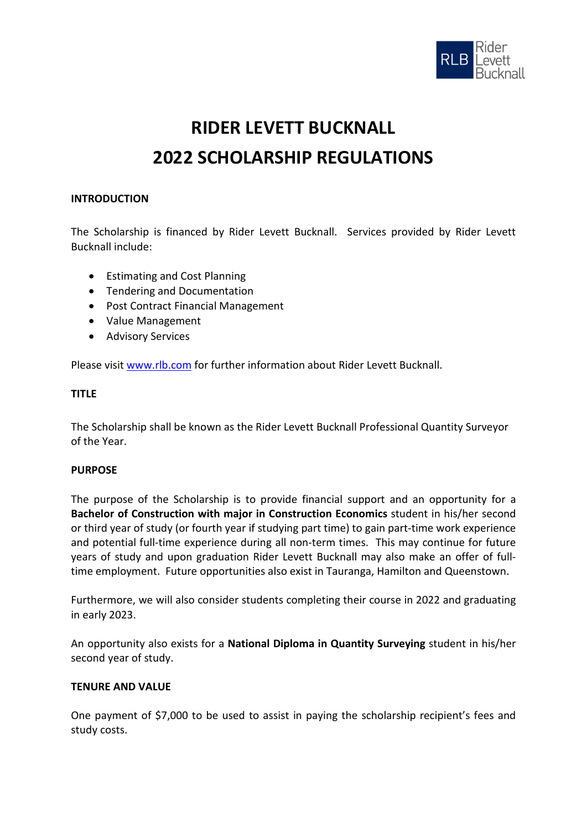

# **RIDER LEVETT BUCKNALL 2022 SCHOLARSHIP REGULATIONS**

# **INTRODUCTION**

The Scholarship is financed by Rider Levett Bucknall. Services provided by Rider Levett Bucknall include:

- Estimating and Cost Planning
- Tendering and Documentation
- Post Contract Financial Management
- Value Management
- Advisory Services

Please visit [www.rlb.com](http://www.rlb.com/) for further information about Rider Levett Bucknall.

## **TITLE**

The Scholarship shall be known as the Rider Levett Bucknall Professional Quantity Surveyor of the Year.

#### **PURPOSE**

The purpose of the Scholarship is to provide financial support and an opportunity for a **Bachelor of Construction with major in Construction Economics** student in his/her second or third year of study (or fourth year if studying part time) to gain part-time work experience and potential full-time experience during all non-term times. This may continue for future years of study and upon graduation Rider Levett Bucknall may also make an offer of fulltime employment. Future opportunities also exist in Tauranga, Hamilton and Queenstown.

Furthermore, we will also consider students completing their course in 2022 and graduating in early 2023.

An opportunity also exists for a **National Diploma in Quantity Surveying** student in his/her second year of study.

# **TENURE AND VALUE**

One payment of \$7,000 to be used to assist in paying the scholarship recipient's fees and study costs.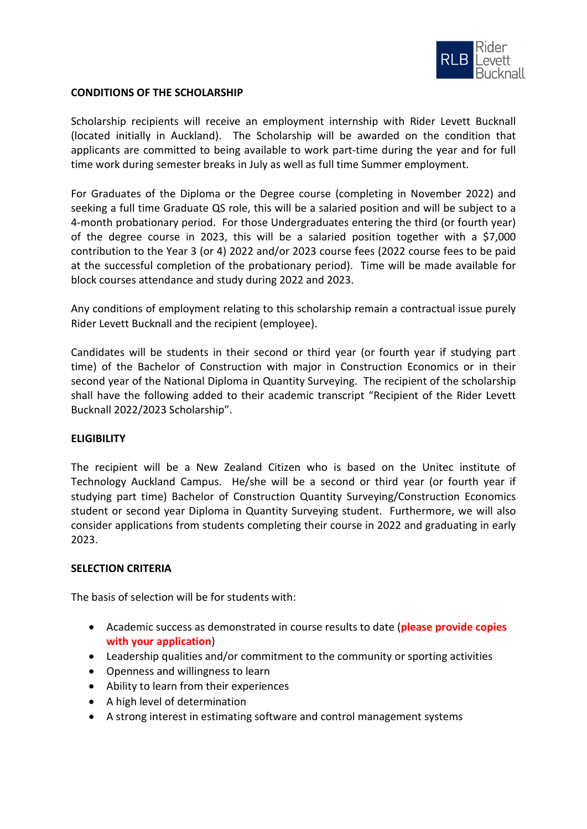

## **CONDITIONS OF THE SCHOLARSHIP**

Scholarship recipients will receive an employment internship with Rider Levett Bucknall (located initially in Auckland). The Scholarship will be awarded on the condition that applicants are committed to being available to work part-time during the year and for full time work during semester breaks in July as well as full time Summer employment.

For Graduates of the Diploma or the Degree course (completing in November 2022) and seeking a full time Graduate QS role, this will be a salaried position and will be subject to a 4-month probationary period. For those Undergraduates entering the third (or fourth year) of the degree course in 2023, this will be a salaried position together with a \$7,000 contribution to the Year 3 (or 4) 2022 and/or 2023 course fees (2022 course fees to be paid at the successful completion of the probationary period). Time will be made available for block courses attendance and study during 2022 and 2023.

Any conditions of employment relating to this scholarship remain a contractual issue purely Rider Levett Bucknall and the recipient (employee).

Candidates will be students in their second or third year (or fourth year if studying part time) of the Bachelor of Construction with major in Construction Economics or in their second year of the National Diploma in Quantity Surveying. The recipient of the scholarship shall have the following added to their academic transcript "Recipient of the Rider Levett Bucknall 2022/2023 Scholarship".

## **ELIGIBILITY**

The recipient will be a New Zealand Citizen who is based on the Unitec institute of Technology Auckland Campus. He/she will be a second or third year (or fourth year if studying part time) Bachelor of Construction Quantity Surveying/Construction Economics student or second year Diploma in Quantity Surveying student. Furthermore, we will also consider applications from students completing their course in 2022 and graduating in early 2023.

## **SELECTION CRITERIA**

The basis of selection will be for students with:

- Academic success as demonstrated in course results to date (**please provide copies with your application**)
- Leadership qualities and/or commitment to the community or sporting activities
- Openness and willingness to learn
- Ability to learn from their experiences
- A high level of determination
- A strong interest in estimating software and control management systems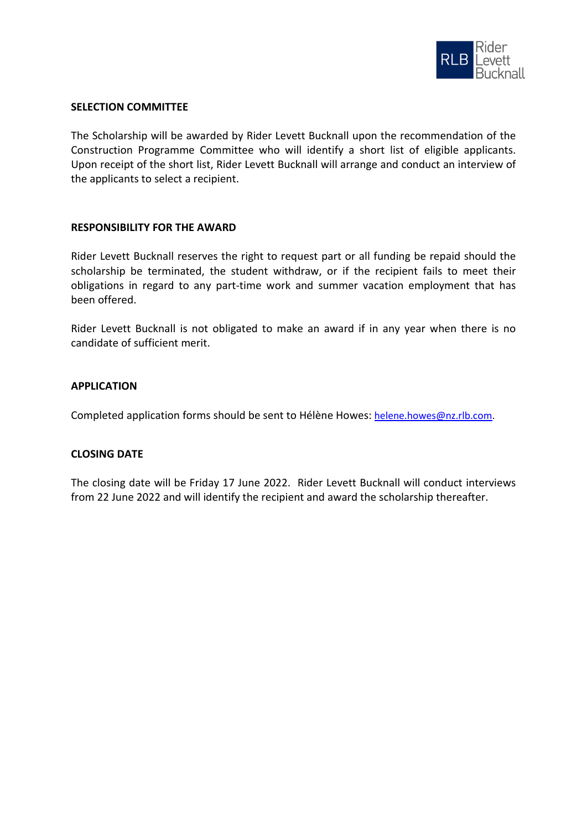

## **SELECTION COMMITTEE**

The Scholarship will be awarded by Rider Levett Bucknall upon the recommendation of the Construction Programme Committee who will identify a short list of eligible applicants. Upon receipt of the short list, Rider Levett Bucknall will arrange and conduct an interview of the applicants to select a recipient.

## **RESPONSIBILITY FOR THE AWARD**

Rider Levett Bucknall reserves the right to request part or all funding be repaid should the scholarship be terminated, the student withdraw, or if the recipient fails to meet their obligations in regard to any part-time work and summer vacation employment that has been offered.

Rider Levett Bucknall is not obligated to make an award if in any year when there is no candidate of sufficient merit.

## **APPLICATION**

Completed application forms should be sent to Hélène Howes[: helene.howes@nz.rlb.com.](mailto:helene.howes@nz.rlb.com)

#### **CLOSING DATE**

The closing date will be Friday 17 June 2022. Rider Levett Bucknall will conduct interviews from 22 June 2022 and will identify the recipient and award the scholarship thereafter.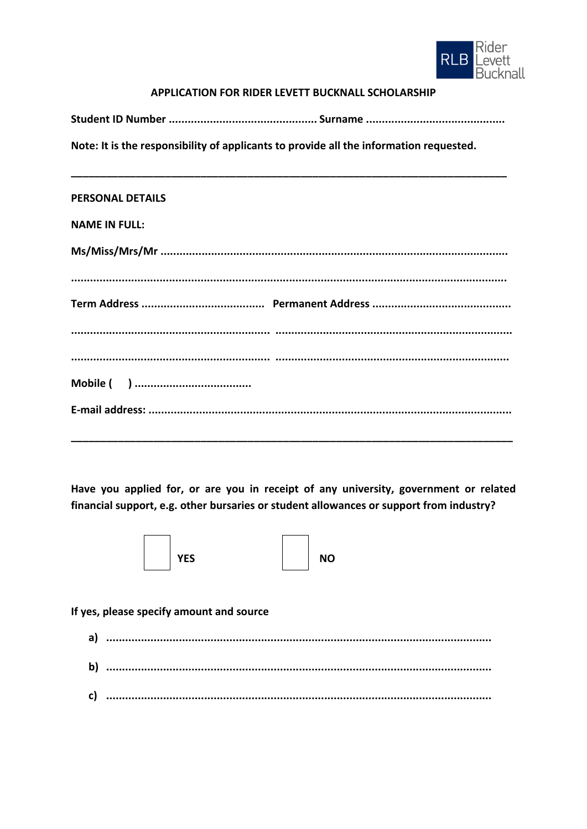

# APPLICATION FOR RIDER LEVETT BUCKNALL SCHOLARSHIP

Note: It is the responsibility of applicants to provide all the information requested.

#### **PERSONAL DETAILS**

## **NAME IN FULL:**

Have you applied for, or are you in receipt of any university, government or related financial support, e.g. other bursaries or student allowances or support from industry?



**NO** 

# If yes, please specify amount and source

| $\mathbf{a}$ |  |
|--------------|--|
| $\mathbf{b}$ |  |
| C)           |  |